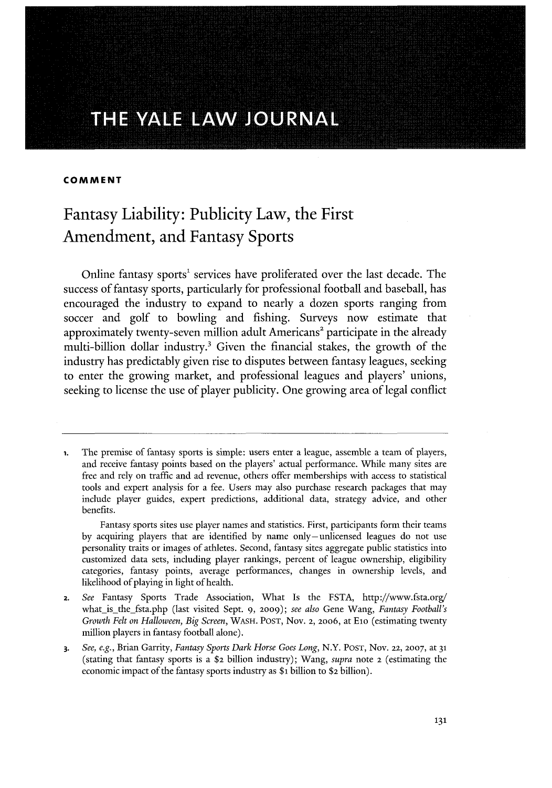# **THE YALE LAW JOURNAL**

## **COMMENT**

# Fantasy Liability: Publicity Law, the First Amendment, and Fantasy Sports

Online fantasy sports' services have proliferated over the last decade. The success of fantasy sports, particularly for professional football and baseball, has encouraged the industry to expand to nearly a dozen sports ranging from soccer and golf to bowling and fishing. Surveys now estimate that approximately twenty-seven million adult Americans<sup>2</sup> participate in the already multi-billion dollar industry.3 Given the financial stakes, the growth of the industry has predictably given rise to disputes between fantasy leagues, seeking to enter the growing market, and professional leagues and players' unions, seeking to license the use of player publicity. One growing area of legal conflict

The premise of fantasy sports is simple: users enter a league, assemble a team of players,  $\mathbf{L}$ and receive fantasy points based on the players' actual performance. While many sites are free and rely on traffic and ad revenue, others offer memberships with access to statistical tools and expert analysis for a fee. Users may also purchase research packages that may include player guides, expert predictions, additional data, strategy advice, and other benefits.

Fantasy sports sites use player names and statistics. First, participants form their teams by acquiring players that are identified by name only-unlicensed leagues do **not use** personality traits or images of athletes. Second, fantasy sites aggregate public statistics into customized data sets, including player rankings, percent of league ownership, eligibility categories, fantasy points, average performances, changes in ownership levels, and likelihood of playing in light of health.

**2.** *See* Fantasy Sports Trade Association, What Is the **FSTA,** http://www.fsta.org/ what is the fsta.php (last visited Sept. **9, 2009);** *see also* Gene Wang, *Fantasy Football's Growth Felt on Halloween, Big Screen,* WASH. POST, Nov. **2, 2006,** at Elo (estimating twenty million players in fantasy football alone).

**3.** *See, e.g.,* Brian Garrity, *Fantasy Sports Dark Horse Goes Long,* N.Y. POST, Nov. **22, 2007,** at **31** (stating that fantasy sports is a **\$2** billion industry); Wang, *supra* note 2 (estimating the economic impact of the fantasy sports industry as **\$i** billion to **\$2** billion).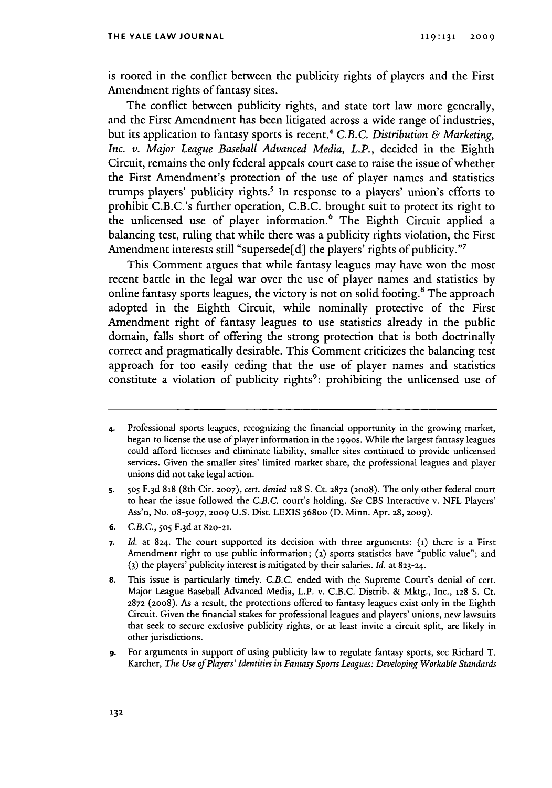is rooted in the conflict between the publicity rights of players and the First Amendment rights of fantasy sites.

The conflict between publicity rights, and state tort law more generally, and the First Amendment has been litigated across a wide range of industries, but its application to fantasy sports is recent.' *C.B.C. Distribution & Marketing, Inc. v. Major League Baseball Advanced Media, L.P.,* decided in the Eighth Circuit, remains the only federal appeals court case to raise the issue of whether the First Amendment's protection of the use of player names and statistics trumps players' publicity rights.' In response to a players' union's efforts to prohibit C.B.C.'s further operation, C.B.C. brought suit to protect its right to the unlicensed use of player information.<sup>6</sup> The Eighth Circuit applied a balancing test, ruling that while there was a publicity rights violation, the First Amendment interests still "supersede[d] the players' rights of publicity."7

This Comment argues that while fantasy leagues may have won the most recent battle in the legal war over the use of player names and statistics by online fantasy sports leagues, the victory is not on solid footing.<sup>8</sup> The approach adopted in the Eighth Circuit, while nominally protective of the First Amendment right of fantasy leagues to use statistics already in the public domain, falls short of offering the strong protection that is both doctrinally correct and pragmatically desirable. This Comment criticizes the balancing test approach for too easily ceding that the use of player names and statistics constitute a violation of publicity rights<sup>9</sup>: prohibiting the unlicensed use of

- **6.** C.B.C., **505** F.3d at **820-21.**
- **7.** *Id.* at 824. The court supported its decision with three arguments: **(1)** there is a First Amendment right to use public information; **(2)** sports statistics have "public value"; and **(3)** the players' publicity interest is mitigated by their salaries. *Id.* at 823-24.
- **8.** This issue is particularly timely. C.B.C. ended with the Supreme Court's denial of cert. Major League Baseball Advanced Media, L.P. v. C.B.C. Distrib. & Mktg., Inc., **128 S.** Ct. **2872** (2008). As a result, the protections offered to fantasy leagues exist only in the Eighth Circuit. Given the financial stakes for professional leagues and players' unions, new lawsuits that seek to secure exclusive publicity rights, or at least invite a circuit split, are likely in other jurisdictions.
- **9.** For arguments in support of using publicity law to regulate fantasy sports, see Richard T. Karcher, *The Use of Players' Identities in Fantasy Sports Leagues: Developing Workable Standards*

<sup>4-</sup> Professional sports leagues, recognizing the financial opportunity in the growing market, began to license the use of player information in the 199os. While the largest fantasy leagues could afford licenses and eliminate liability, smaller sites continued to provide unlicensed services. Given the smaller sites' limited market share, the professional leagues and player unions did not take legal action.

**<sup>5. 505</sup>** F. 3d 818 (8th Cir. **2007),** *cert. denied* **128 S.** Ct. **2872** (2008). The only other federal court to hear the issue followed the C.B.C. court's holding. *See* CBS Interactive v. NFL Players' Ass'n, No. 08-5097, 2009 U.S. Dist. LEXIS 36800 (D. Minn. Apr. **28,** 2009).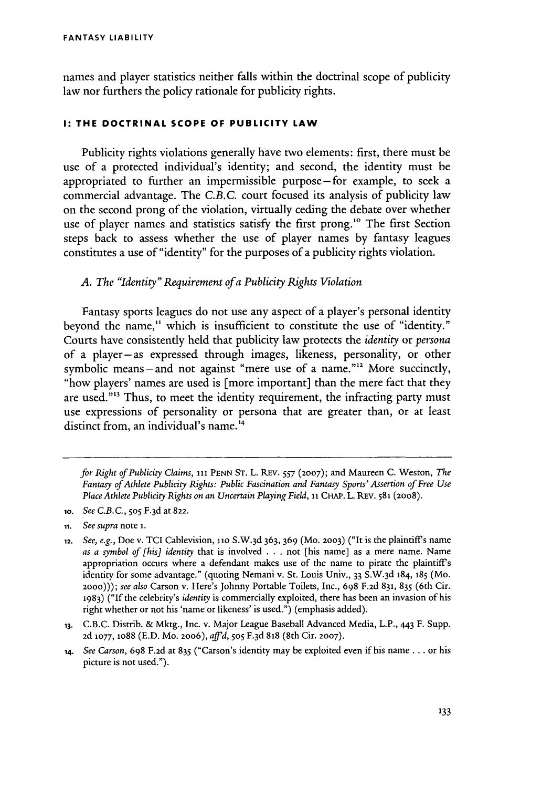### **FANTASY LIABILITY**

names and player statistics neither falls within the doctrinal scope of publicity law nor furthers the policy rationale for publicity rights.

## **I: THE DOCTRINAL SCOPE OF PUBLICITY LAW**

Publicity rights violations generally have two elements: first, there must be use of a protected individual's identity; and second, the identity must be appropriated to further an impermissible purpose-for example, to seek a commercial advantage. The C.B.C. court focused its analysis of publicity law on the second prong of the violation, virtually ceding the debate over whether use of player names and statistics satisfy the first prong.<sup>10</sup> The first Section steps back to assess whether the use of player names by fantasy leagues constitutes a use of "identity" for the purposes of a publicity rights violation.

## *A. The "Identity" Requirement of a Publicity Rights Violation*

Fantasy sports leagues do not use any aspect of a player's personal identity beyond the name," which is insufficient to constitute the use of "identity." Courts have consistently held that publicity law protects the *identity* or *persona* of a player-as expressed through images, likeness, personality, or other symbolic means-and not against "mere use of a name."" More succinctly, "how players' names are used is [more important] than the mere fact that they are used."<sup>13</sup> Thus, to meet the identity requirement, the infracting party must use expressions of personality or persona that are greater than, or at least distinct from, an individual's name.<sup>14</sup>

*for Right of Publicity Claims,* **111** PENN ST. L. REV. 557 **(2007);** and Maureen **C.** Weston, *The Fantasy of Athlete Publicity Rights: Public Fascination and Fantasy Sports' Assertion of Free Use Place Athlete Publicity Rights on an Uncertain Playing Field,* **11** CHAP. L. REV. *581* **(2008).**

**<sup>1</sup>o.** *See* C.B.C., **505** F.3d at **822.**

**<sup>11.</sup>** *See supra* note **1.**

**<sup>12.</sup>** *See, e.g.,* Doe v. TCI Cablevision, **11o** S.W.3d 363, 369 (Mo. **2003)** ("It is the plaintiff s name *as a symbol of* [his] *identity* that is involved .. .not [his name] as a mere name. Name appropriation occurs where a defendant makes use of the name to pirate the plaintiff's identity for some advantage." (quoting Nemani v. St. Louis Univ., **33** S.W. 3d 184, 185 (Mo. 2000))); *see also* Carson v. Here's Johnny Portable Toilets, Inc., 698 F.2d 831, 835 (6th Cir. 1983) ("If the celebrity's *identity* is commercially exploited, there has been an invasion of his right whether or not his 'name or likeness' is used.") (emphasis added).

**<sup>13.</sup>** C.B.C. Distrib. & Mktg., Inc. v. Major League Baseball Advanced Media, L.P., 443 F. Supp. **2d 1077,** io88 (E.D. Mo. 20o6), *ajJ'd, 505* F. 3d 818 (8th Cir. **2007).**

**<sup>14.</sup>** *See Carson,* 698 F.2d at 835 ("Carson's identity may be exploited even if his name.., or his picture is not used.").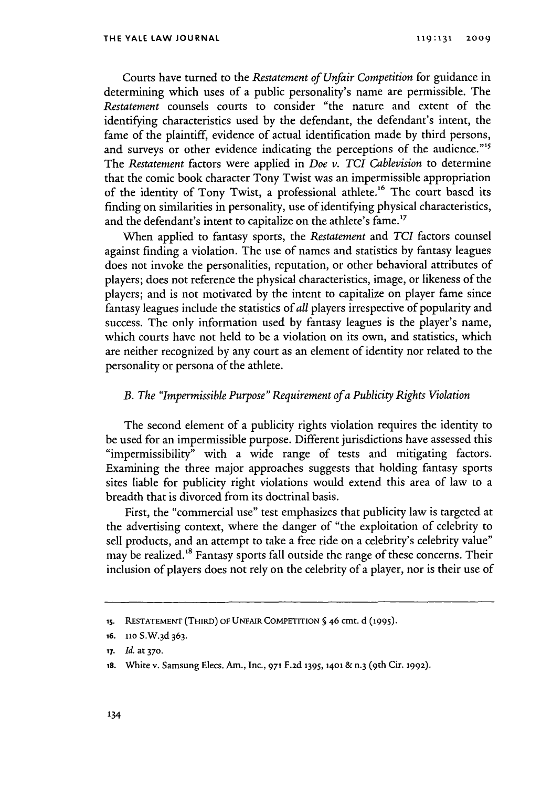Courts have turned to the *Restatement of Unfair Competition* for guidance in determining which uses of a public personality's name are permissible. The *Restatement* counsels courts to consider "the nature and extent of the identifying characteristics used by the defendant, the defendant's intent, the fame of the plaintiff, evidence of actual identification made by third persons, and surveys or other evidence indicating the perceptions of the audience."<sup>15</sup> The *Restatement* factors were applied in *Doe v. TCI Cablevision* to determine that the comic book character Tony Twist was an impermissible appropriation of the identity of Tony Twist, a professional athlete.<sup>16</sup> The court based its finding on similarities in personality, use of identifying physical characteristics, and the defendant's intent to capitalize on the athlete's fame.'<sup>7</sup>

When applied to fantasy sports, the *Restatement* and *TCI* factors counsel against finding a violation. The use of names and statistics by fantasy leagues does not invoke the personalities, reputation, or other behavioral attributes of players; does not reference the physical characteristics, image, or likeness of the players; and is not motivated by the intent to capitalize on player fame since fantasy leagues include the statistics of *all* players irrespective of popularity and success. The only information used by fantasy leagues is the player's name, which courts have not held to be a violation on its own, and statistics, which are neither recognized by any court as an element of identity nor related to the personality or persona of the athlete.

## *B. The "Impermissible Purpose" Requirement of a Publicity Rights Violation*

The second element of a publicity rights violation requires the identity to be used for an impermissible purpose. Different jurisdictions have assessed this "impermissibility" with a wide range of tests and mitigating factors. Examining the three major approaches suggests that holding fantasy sports sites liable for publicity right violations would extend this area of law to a breadth that is divorced from its doctrinal basis.

First, the "commercial use" test emphasizes that publicity law is targeted at the advertising context, where the danger of "the exploitation of celebrity to sell products, and an attempt to take a free ride on a celebrity's celebrity value" may be realized.<sup>18</sup> Fantasy sports fall outside the range of these concerns. Their inclusion of players does not rely on the celebrity of a player, nor is their use of

**<sup>15.</sup> RESTATEMENT** (THIRD) **OF UNFAIR COMPETITION §** 46 cmt. d **(1995).**

<sup>16.</sup> **<sup>110</sup>**S.W.3d 363.

**<sup>17.</sup>** *Id.* at 370.

<sup>18.</sup> White v. Samsung Elecs. Am., Inc., **971 F.2d** 1395, 1401 **&** n.3 (9th Cit. 1992).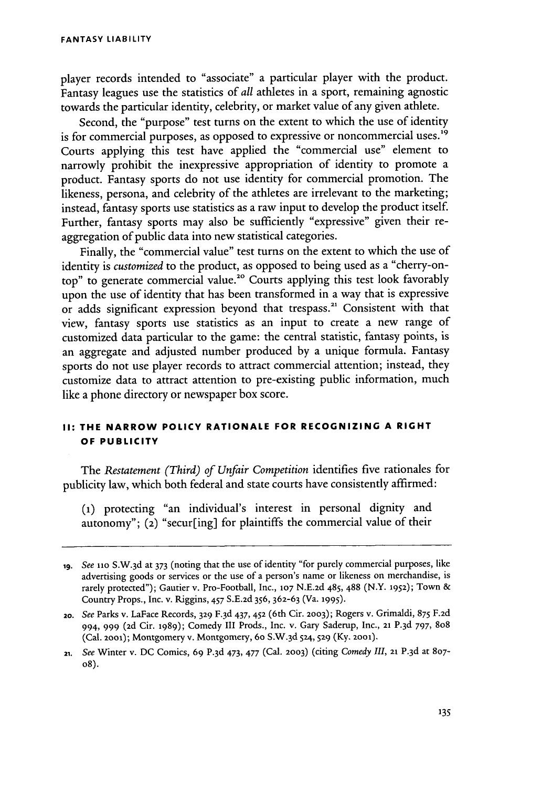player records intended to "associate" a particular player with the product. Fantasy leagues use the statistics of *all* athletes in a sport, remaining agnostic towards the particular identity, celebrity, or market value of any given athlete.

Second, the "purpose" test turns on the extent to which the use of identity is for commercial purposes, as opposed to expressive or noncommercial uses.<sup>19</sup> Courts applying this test have applied the "commercial use" element to narrowly prohibit the inexpressive appropriation of identity to promote a product. Fantasy sports do not use identity for commercial promotion. The likeness, persona, and celebrity of the athletes are irrelevant to the marketing; instead, fantasy sports use statistics as a raw input to develop the product itself. Further, fantasy sports may also be sufficiently "expressive" given their reaggregation of public data into new statistical categories.

Finally, the "commercial value" test turns on the extent to which the use of identity is *customized* to the product, as opposed to being used as a "cherry-ontop" to generate commercial value.<sup>20</sup> Courts applying this test look favorably upon the use of identity that has been transformed in a way that is expressive or adds significant expression beyond that trespass.<sup>21</sup> Consistent with that view, fantasy sports use statistics as an input to create a new range of customized data particular to the game: the central statistic, fantasy points, is an aggregate and adjusted number produced by a unique formula. Fantasy sports do not use player records to attract commercial attention; instead, they customize data to attract attention to pre-existing public information, much like a phone directory or newspaper box score.

## **I1: THE NARROW POLICY RATIONALE FOR RECOGNIZING A RIGHT OF PUBLICITY**

The *Restatement (Third) of Unfair Competition* identifies five rationales for publicity law, which both federal and state courts have consistently affirmed:

**(1)** protecting "an individual's interest in personal dignity and autonomy"; (2) "secur[ing] for plaintiffs the commercial value of their

*<sup>19.</sup> See* **11o** S.W.3d at 373 (noting that the use of identity "for purely commercial purposes, like advertising goods or services or the use of a person's name or likeness on merchandise, is rarely protected"); Gautier v. Pro-Football, Inc., **107** N.E.2d 485, 488 (N.Y. **1952);** Town **&** Country Props., Inc. v. Riggins, 457 S.E.2d 356, 362-63 (Va. **1995).**

**<sup>20.</sup>** *See* Parks v. LaFace Records, **329** F.3 d 437, 452 (6th Cir. **2003);** Rogers v. Grimaldi, 875 F.2d 994, 999 (2d Cit. 1989); Comedy III Prods., Inc. v. Gary Saderup, Inc., 21 P. 3d 797, 8o8 (Cal. 2ooi); Montgomery v. Montgomery, 60 S.W.3d 524, **529** (Ky. zool).

<sup>21.</sup> *See* Winter v. DC Comics, 69 P.3d 473, 477 (Cal. 2003) (citing *Comedy III*, 21 P.3d at 807o8).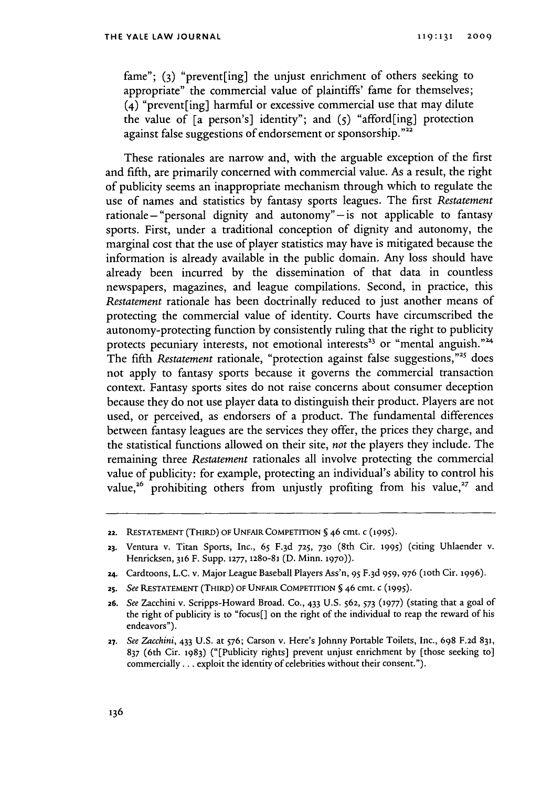fame"; **(3)** "prevent[ing] the unjust enrichment of others seeking to appropriate" the commercial value of plaintiffs' fame for themselves; (4) "prevent[ing] harmful or excessive commercial use that may dilute the value of [a person's] identity"; and **(5)** "afford[ing] protection against false suggestions of endorsement or sponsorship."<sup>22</sup>

These rationales are narrow and, with the arguable exception of the first and fifth, are primarily concerned with commercial value. As a result, the right of publicity seems an inappropriate mechanism through which to regulate the use of names and statistics by fantasy sports leagues. The first *Restatement* rationale  $-$  "personal dignity and autonomy"  $-$  is not applicable to fantasy sports. First, under a traditional conception of dignity and autonomy, the marginal cost that the use of player statistics may have is mitigated because the information is already available in the public domain, Any loss should have already been incurred by the dissemination of that data in countless newspapers, magazines, and league compilations. Second, in practice, this *Restatement* rationale has been doctrinally reduced to just another means of protecting the commercial value of identity. Courts have circumscribed the autonomy-protecting function by consistently ruling that the right to publicity protects pecuniary interests, not emotional interests<sup>23</sup> or "mental anguish."<sup>24</sup> The fifth *Restatement* rationale, "protection against false suggestions,"<sup>25</sup> does not apply to fantasy sports because it governs the commercial transaction context. Fantasy sports sites do not raise concerns about consumer deception because they do not use player data to distinguish their product. Players are not used, or perceived, as endorsers of a product. The fundamental differences between fantasy leagues are the services they offer, the prices they charge, and the statistical functions allowed on their site, *not* the players they include. The remaining three *Restatement* rationales all involve protecting the commercial value of publicity: for example, protecting an individual's ability to control his value,<sup>26</sup> prohibiting others from unjustly profiting from his value,<sup>27</sup> and

**<sup>22.</sup> RESTATEMENT** (THIRD) **OF UNFAIR COMPETITION §** 46 cmt. c **(1995).**

**<sup>23.</sup>** Ventura v. Titan Sports, Inc., **65** F.3d **725, 730** (8th Cir. **1995)** (citing Uhlaender v. Henricksen, **316** F. Supp. 1277, 128o-81 (D. Minn. **1970)).**

**<sup>24.</sup>** Cardtoons, L.C. v. Major League Baseball Players Ass'n, 95 F. 3d 959, 976 (loth Cir. **1996).**

**<sup>25.</sup>** See **RESTATEMENT** (THIRD) OF **UNFAIR** COMPETITION **§** 46 cmt. **c (1995).**

*z6.* See Zacchini v. Scripps-Howard Broad. Co., 433 U.S. 562, 573 **(1977)** (stating that a goal of the right of publicity is to "focus[] on the right of the individual to reap the reward of his endeavors").

**<sup>27.</sup>** *See Zacchini,* 433 U.S. at 576; Carson v. Here's Johnny Portable Toilets, Inc., 698 F.2d 831, 837 (6th Cir. 1983) ("[Publicity rights] prevent unjust enrichment by [those seeking to] commercially... exploit the identity of celebrities without their consent.").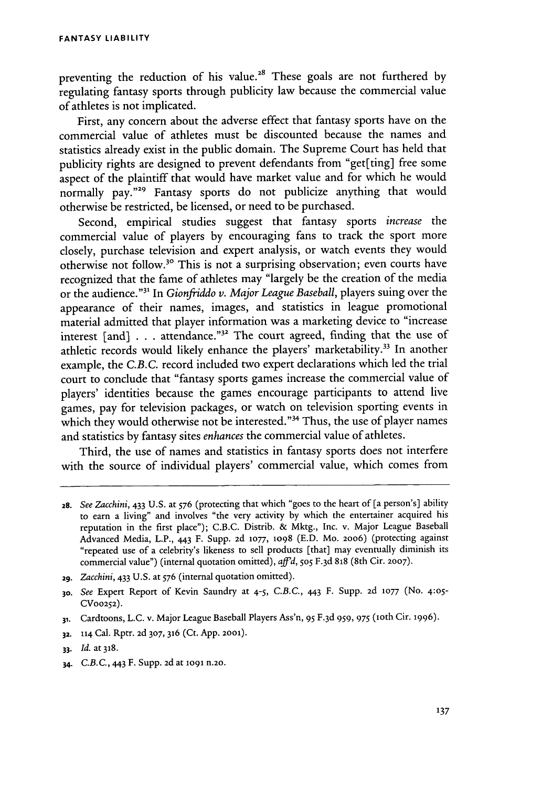preventing the reduction of his value.<sup>28</sup> These goals are not furthered by regulating fantasy sports through publicity law because the commercial value of athletes is not implicated.

First, any concern about the adverse effect that fantasy sports have on the commercial value of athletes must be discounted because the names and statistics already exist in the public domain. The Supreme Court has held that publicity rights are designed to prevent defendants from "get[ting] free some aspect of the plaintiff that would have market value and for which he would normally pay."<sup>29</sup> Fantasy sports do not publicize anything that would otherwise be restricted, be licensed, or need to be purchased.

Second, empirical studies suggest that fantasy sports *increase* the commercial value of players by encouraging fans to track the sport more closely, purchase television and expert analysis, or watch events they would otherwise not **follow. <sup>30</sup>**This is not a surprising observation; even courts have recognized that the fame of athletes may "largely be the creation of the media or the audience."<sup>31</sup> In *Gionfriddo v. Major League Baseball*, players suing over the appearance of their names, images, and statistics in league promotional material admitted that player information was a marketing device to "increase interest [and] . . . attendance."<sup>32</sup> The court agreed, finding that the use of athletic records would likely enhance the players' marketability.<sup>33</sup> In another example, the C.B.C. record included two expert declarations which led the trial court to conclude that "fantasy sports games increase the commercial value of players' identities because the games encourage participants to attend live games, pay for television packages, or watch on television sporting events in which they would otherwise not be interested."<sup>34</sup> Thus, the use of player names and statistics by fantasy sites *enhances* the commercial value of athletes.

Third, the use of names and statistics in fantasy sports does not interfere with the source of individual players' commercial value, which comes from

- **31.** Cardtoons, **L.C.** v. Major League Baseball Players Ass'n, 95 **F.3d 959, 975** (ioth Cir. **1996).**
- **32. 114** Cal. Rptr. **2d** 307, 316 (Ct. **App. 2001).**

**34-** C.B.C., 443 F. Supp. 2d at **1O91 n.2o.**

*aS. See Zacchini,* 433 U.S. at 576 (protecting that which "goes to the heart of [a person's] ability to earn a living" and involves "the very activity by which the entertainer acquired his reputation in the first place"); C.B.C. Distrib. & Mktg., Inc. v. Major League Baseball Advanced Media, L.P., 443 F. Supp. **2d 1077,** 1o98 (E.D. Mo. **2006)** (protecting against "repeated use of a celebrity's likeness to sell products [that] may eventually diminish its commercial value") (internal quotation omitted), *afftd,* **505** F.3d **818** (8th Cir. **2007).**

<sup>29.</sup> *Zacchini,* 433 U.S. at *576* (internal quotation omitted).

**<sup>30.</sup>** *See* Expert Report of Kevin Saundry at 4-5, *C.B.C.,* 443 F. Supp. 2d **1077** (No. 4:05- **CVoo252).**

**<sup>33.</sup>** *Id.* at 318.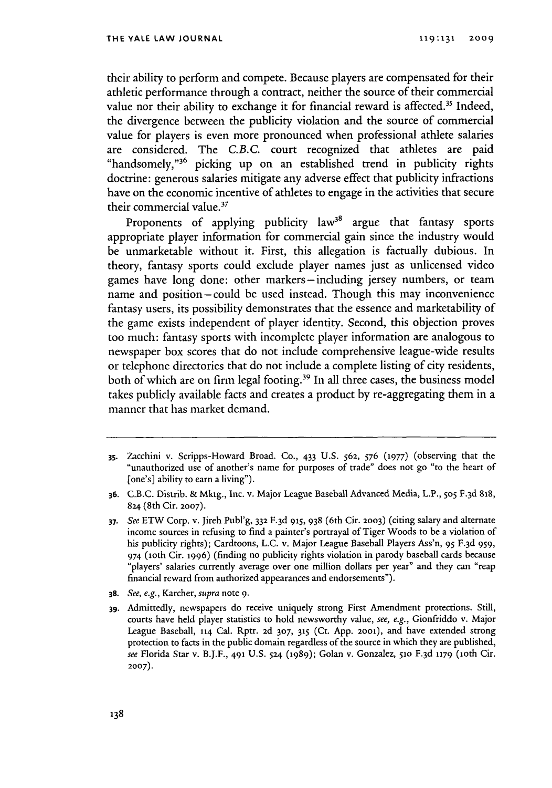their ability to perform and compete. Because players are compensated for their athletic performance through a contract, neither the source of their commercial value nor their ability to exchange it for financial reward is affected.<sup>35</sup> Indeed, the divergence between the publicity violation and the source of commercial value for players is even more pronounced when professional athlete salaries are considered. The C.B.C. court recognized that athletes are paid "handsomely,"<sup>36</sup> picking up on an established trend in publicity rights doctrine: generous salaries mitigate any adverse effect that publicity infractions have on the economic incentive of athletes to engage in the activities that secure their commercial value. <sup>37</sup>

Proponents of applying publicity law<sup>38</sup> argue that fantasy sports appropriate player information for commercial gain since the industry would be unmarketable without it. First, this allegation is factually dubious. In theory, fantasy sports could exclude player names just as unlicensed video games have long done: other markers -including jersey numbers, or team name and position-could be used instead. Though this may inconvenience fantasy users, its possibility demonstrates that the essence and marketability of the game exists independent of player identity. Second, this objection proves too much: fantasy sports with incomplete player information are analogous to newspaper box scores that do not include comprehensive league-wide results or telephone directories that do not include a complete listing of city residents, both of which are on firm legal footing.<sup>39</sup> In all three cases, the business model takes publicly available facts and creates a product by re-aggregating them in a manner that has market demand.

*38. See, e.g.,* Karcher, *supra* note **9.**

**<sup>3</sup>s-** Zacchini v. Scripps-Howard Broad. Co., 433 U.S. **562,** *576* **(1977)** (observing that the "unauthorized use of another's name for purposes of trade" does not go "to the heart of [one's] ability to earn a living").

**<sup>36.</sup>** C.B.C. Distrib. & Mktg., Inc. v. Major League Baseball Advanced Media, L.P., **505** F. 3d 818, 824 (8th Cir. **2007).**

**<sup>37.</sup>** *See* ETW Corp. v. Jireh Publ'g, **332** F. 3d **915,** 938 (6th Cir. **2003)** (citing salary and alternate income sources in refusing to find a painter's portrayal of Tiger Woods to be a violation of his publicity rights); Cardtoons, **L.C.** v. Major League Baseball Players Ass'n, **95** F.3d 959, 974 (ioth Cir. 1996) (finding no publicity rights violation in parody baseball cards because "players' salaries currently average over one million dollars per year" and they can "reap financial reward from authorized appearances and endorsements").

**<sup>39.</sup>** Admittedly, newspapers do receive uniquely strong First Amendment protections. Still, courts have held player statistics to hold newsworthy value, *see, e.g.,* Gionfriddo v. Major League Baseball, **114** Cal. Rptr. 2d **307, 315** (Ct. App. **2001),** and have extended strong protection to facts in the public domain regardless of the source in which they are published, *see* Florida Star v. B.J.F., 491 U.S. 524 (1989); Golan v. Gonzalez, 51o F. 3d **1179** (ioth Cir. **2007).**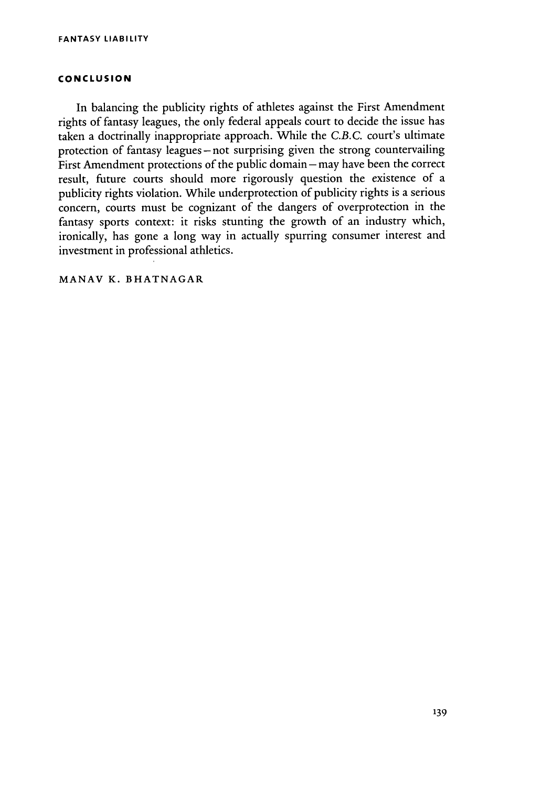### **CONCLUSION**

In balancing the publicity rights of athletes against the First Amendment rights of fantasy leagues, the only federal appeals court to decide the issue has taken a doctrinally inappropriate approach. While the C.B.C. court's ultimate protection of fantasy leagues-not surprising given the strong countervailing First Amendment protections of the public domain – may have been the correct result, future courts should more rigorously question the existence of a publicity rights violation. While underprotection of publicity rights is a serious concern, courts must be cognizant of the dangers of overprotection in the fantasy sports context: it risks stunting the growth of an industry which, ironically, has gone a long way in actually spurring consumer interest and investment in professional athletics.

MANAV K. BHATNAGAR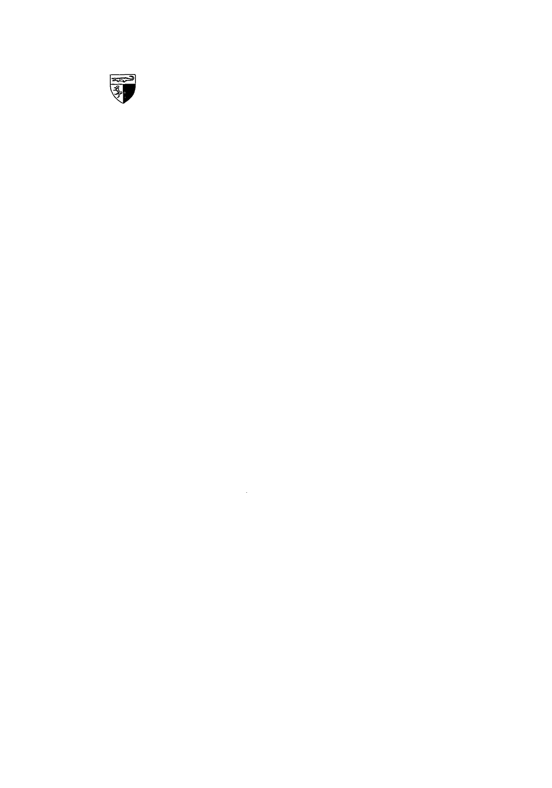

 $\mathcal{L}^{\text{max}}_{\text{max}}$  , where  $\mathcal{L}^{\text{max}}_{\text{max}}$